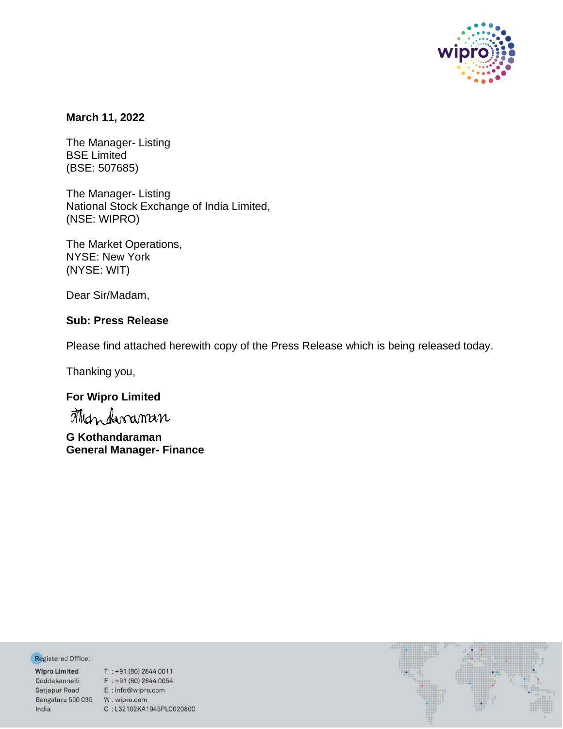

### **March 11, 2022**

The Manager- Listing BSE Limited (BSE: 507685)

The Manager- Listing National Stock Exchange of India Limited, (NSE: WIPRO)

The Market Operations, NYSE: New York (NYSE: WIT)

Dear Sir/Madam,

## **Sub: Press Release**

Please find attached herewith copy of the Press Release which is being released today.

Thanking you,

# **For Wipro Limited**

**G Kothandaraman General Manager- Finance**

Registered Office:

Bengaluru 560 035 W: wipro.com India

**Negistered Office:**<br> **Wipro Limited** T : +91 (80) 2844 0011<br>
Doddakannelli F : +91 (80) 2844 0054<br>
Sarjapur Road E : info@wipro.com C:L32102KA1945PLC020800

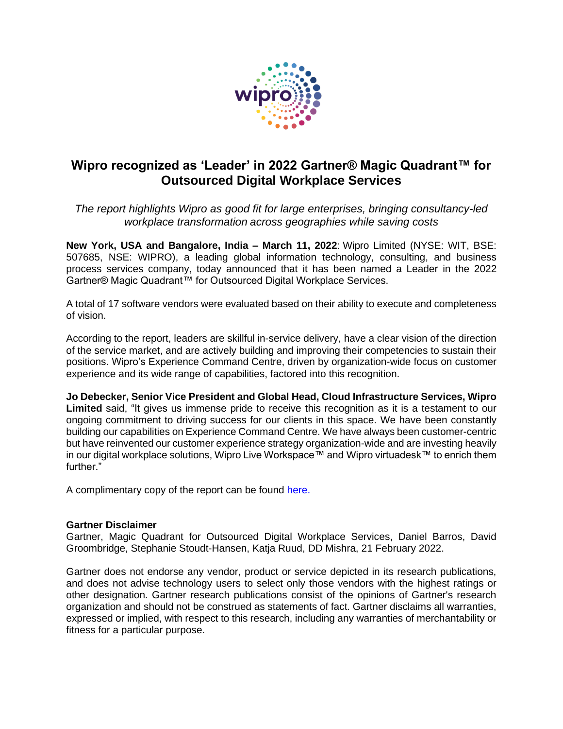

# **Wipro recognized as 'Leader' in 2022 Gartner® Magic Quadrant™ for Outsourced Digital Workplace Services**

*The report highlights Wipro as good fit for large enterprises, bringing consultancy-led workplace transformation across geographies while saving costs*

**New York, USA and Bangalore, India – March 11, 2022**: Wipro Limited (NYSE: WIT, BSE: 507685, NSE: WIPRO), a leading global information technology, consulting, and business process services company, today announced that it has been named a Leader in the 2022 Gartner® Magic Quadrant™ for Outsourced Digital Workplace Services.

A total of 17 software vendors were evaluated based on their ability to execute and completeness of vision.

According to the report, leaders are skillful in-service delivery, have a clear vision of the direction of the service market, and are actively building and improving their competencies to sustain their positions. Wipro's Experience Command Centre, driven by organization-wide focus on customer experience and its wide range of capabilities, factored into this recognition.

**Jo Debecker, Senior Vice President and Global Head, Cloud Infrastructure Services, Wipro Limited** said, "It gives us immense pride to receive this recognition as it is a testament to our ongoing commitment to driving success for our clients in this space. We have been constantly building our capabilities on Experience Command Centre. We have always been customer-centric but have reinvented our customer experience strategy organization-wide and are investing heavily in our digital workplace solutions, Wipro Live Workspace™ and Wipro virtuadesk™ to enrich them further."

A complimentary copy of the report can be found [here.](https://www.wipro.com/analyst-speak/wipro-has-been-recognized-as-a-leader-in-the-2022-gartner-magic-quadrant-for-outsourced-digital-workplace-services/)

#### **Gartner Disclaimer**

Gartner, Magic Quadrant for Outsourced Digital Workplace Services, Daniel Barros, David Groombridge, Stephanie Stoudt-Hansen, Katja Ruud, DD Mishra, 21 February 2022.

Gartner does not endorse any vendor, product or service depicted in its research publications, and does not advise technology users to select only those vendors with the highest ratings or other designation. Gartner research publications consist of the opinions of Gartner's research organization and should not be construed as statements of fact. Gartner disclaims all warranties, expressed or implied, with respect to this research, including any warranties of merchantability or fitness for a particular purpose.